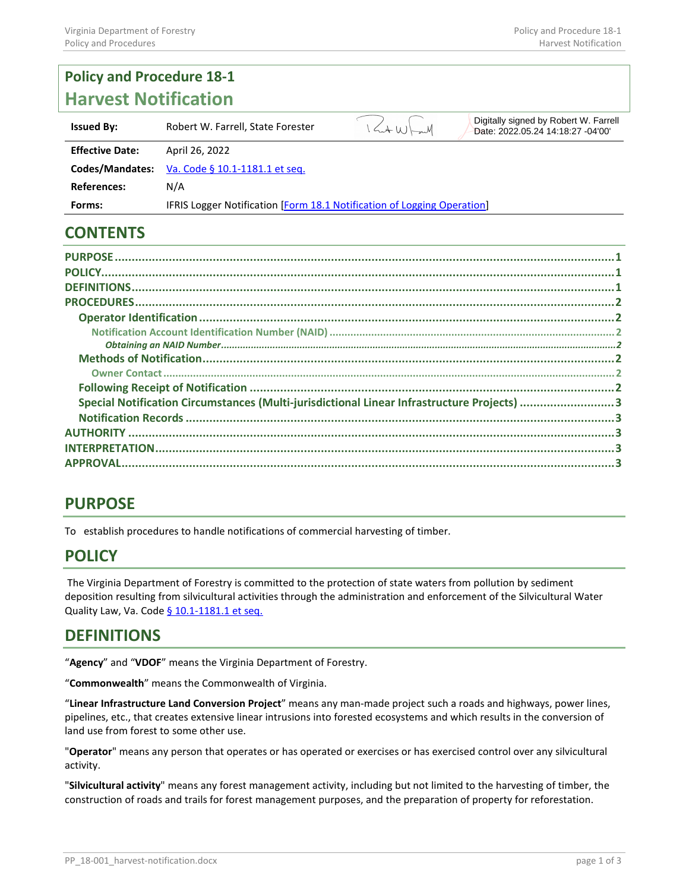#### **Policy and Procedure 18-1 Harvest Notification** Digitally signed by Robert W. Farrell  $144W$ **Issued By:** Robert W. Farrell, State Forester Date: 2022.05.24 14:18:27 -04'00'**Effective Date:** April 26, 2022 **Codes/Mandates:** Va. Code § 10.1-1181.1 et seq. **References:** N/A **Forms:** IFRIS Logger Notification [Form 18.1 [Notification of Logging Operation\]](https://dof.virginia.gov/wp-content/uploads/f18.01.dotx)

## **CONTENTS**

| Special Notification Circumstances (Multi-jurisdictional Linear Infrastructure Projects) 3 |  |
|--------------------------------------------------------------------------------------------|--|
|                                                                                            |  |
|                                                                                            |  |
|                                                                                            |  |
|                                                                                            |  |
|                                                                                            |  |

## <span id="page-0-0"></span>**PURPOSE**

To establish procedures to handle notifications of commercial harvesting of timber.

## <span id="page-0-1"></span>**POLICY**

The Virginia Department of Forestry is committed to the protection of state waters from pollution by sediment deposition resulting from silvicultural activities through the administration and enforcement of the Silvicultural Water Quality Law, Va. Code § 10.1-1181.1 et seq.

#### <span id="page-0-2"></span>**DEFINITIONS**

"**Agency**" and "**VDOF**" means the Virginia Department of Forestry.

"**Commonwealth**" means the Commonwealth of Virginia.

"**Linear Infrastructure Land Conversion Project**" means any man-made project such a roads and highways, power lines, pipelines, etc., that creates extensive linear intrusions into forested ecosystems and which results in the conversion of land use from forest to some other use.

"**Operator**" means any person that operates or has operated or exercises or has exercised control over any silvicultural activity.

"**Silvicultural activity**" means any forest management activity, including but not limited to the harvesting of timber, the construction of roads and trails for forest management purposes, and the preparation of property for reforestation.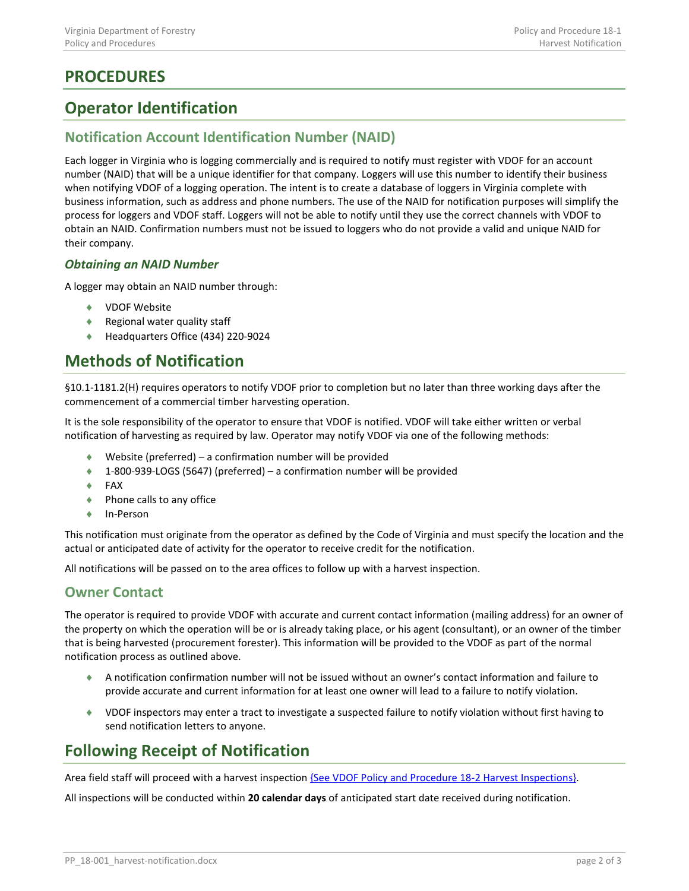# <span id="page-1-0"></span>**PROCEDURES**

## <span id="page-1-1"></span>**Operator Identification**

#### <span id="page-1-2"></span>**Notification Account Identification Number (NAID)**

Each logger in Virginia who is logging commercially and is required to notify must register with VDOF for an account number (NAID) that will be a unique identifier for that company. Loggers will use this number to identify their business when notifying VDOF of a logging operation. The intent is to create a database of loggers in Virginia complete with business information, such as address and phone numbers. The use of the NAID for notification purposes will simplify the process for loggers and VDOF staff. Loggers will not be able to notify until they use the correct channels with VDOF to obtain an NAID. Confirmation numbers must not be issued to loggers who do not provide a valid and unique NAID for their company.

#### <span id="page-1-3"></span>*Obtaining an NAID Number*

A logger may obtain an NAID number through:

- ♦ VDOF Website
- ♦ Regional water quality staff
- ♦ Headquarters Office (434) 220-9024

# <span id="page-1-4"></span>**Methods of Notification**

§10.1-1181.2(H) requires operators to notify VDOF prior to completion but no later than three working days after the commencement of a commercial timber harvesting operation.

It is the sole responsibility of the operator to ensure that VDOF is notified. VDOF will take either written or verbal notification of harvesting as required by law. Operator may notify VDOF via one of the following methods:

- ♦ Website (preferred) a confirmation number will be provided
- ♦ 1-800-939-LOGS (5647) (preferred) a confirmation number will be provided
- ♦ FAX
- ♦ Phone calls to any office
- ♦ In-Person

This notification must originate from the operator as defined by the Code of Virginia and must specify the location and the actual or anticipated date of activity for the operator to receive credit for the notification.

All notifications will be passed on to the area offices to follow up with a harvest inspection.

#### <span id="page-1-5"></span>**Owner Contact**

The operator is required to provide VDOF with accurate and current contact information (mailing address) for an owner of the property on which the operation will be or is already taking place, or his agent (consultant), or an owner of the timber that is being harvested (procurement forester). This information will be provided to the VDOF as part of the normal notification process as outlined above.

- ♦ A notification confirmation number will not be issued without an owner's contact information and failure to provide accurate and current information for at least one owner will lead to a failure to notify violation.
- ♦ VDOF inspectors may enter a tract to investigate a suspected failure to notify violation without first having to send notification letters to anyone.

# <span id="page-1-6"></span>**Following Receipt of Notification**

Area field staff will proceed with a harvest inspection {See VDOF Policy and Procedure 18-2 Harvest Inspections}.

All inspections will be conducted within **20 calendar days** of anticipated start date received during notification.